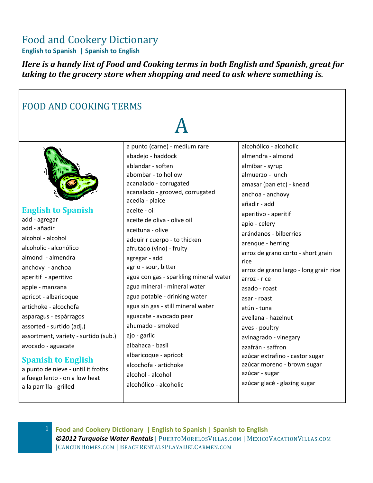### Food and Cookery Dictionary

**English to Spanish | Spanish to English**

*Here is a handy list of Food and Cooking terms in both English and Spanish, great for taking to the grocery store when shopping and need to ask where something is.* 

| <b>FOOD AND COOKING TERMS</b>                                                                                                                                                                                                                                                                                                                                                                                                                                                                       |                                                                                                                                                                                                                                                                                                                                                                                                                                                                                                                                                                                                                                                                                             |                                                                                                                                                                                                                                                                                                                                                                                                                                                                                                                                                                                                               |  |
|-----------------------------------------------------------------------------------------------------------------------------------------------------------------------------------------------------------------------------------------------------------------------------------------------------------------------------------------------------------------------------------------------------------------------------------------------------------------------------------------------------|---------------------------------------------------------------------------------------------------------------------------------------------------------------------------------------------------------------------------------------------------------------------------------------------------------------------------------------------------------------------------------------------------------------------------------------------------------------------------------------------------------------------------------------------------------------------------------------------------------------------------------------------------------------------------------------------|---------------------------------------------------------------------------------------------------------------------------------------------------------------------------------------------------------------------------------------------------------------------------------------------------------------------------------------------------------------------------------------------------------------------------------------------------------------------------------------------------------------------------------------------------------------------------------------------------------------|--|
|                                                                                                                                                                                                                                                                                                                                                                                                                                                                                                     |                                                                                                                                                                                                                                                                                                                                                                                                                                                                                                                                                                                                                                                                                             |                                                                                                                                                                                                                                                                                                                                                                                                                                                                                                                                                                                                               |  |
| <b>English to Spanish</b><br>add - agregar<br>add - añadir<br>alcohol - alcohol<br>alcoholic - alcohólico<br>almond - almendra<br>anchovy - anchoa<br>aperitif - aperitivo<br>apple - manzana<br>apricot - albaricoque<br>artichoke - alcochofa<br>asparagus - espárragos<br>assorted - surtido (adj.)<br>assortment, variety - surtido (sub.)<br>avocado - aguacate<br><b>Spanish to English</b><br>a punto de nieve - until it froths<br>a fuego lento - on a low heat<br>a la parrilla - grilled | a punto (carne) - medium rare<br>abadejo - haddock<br>ablandar - soften<br>abombar - to hollow<br>acanalado - corrugated<br>acanalado - grooved, corrugated<br>acedía - plaice<br>aceite - oil<br>aceite de oliva - olive oil<br>aceituna - olive<br>adquirir cuerpo - to thicken<br>afrutado (vino) - fruity<br>agregar - add<br>agrio - sour, bitter<br>agua con gas - sparkling mineral water<br>agua mineral - mineral water<br>agua potable - drinking water<br>agua sin gas - still mineral water<br>aguacate - avocado pear<br>ahumado - smoked<br>ajo - garlic<br>albahaca - basil<br>albaricoque - apricot<br>alcochofa - artichoke<br>alcohol - alcohol<br>alcohólico - alcoholic | alcohólico - alcoholic<br>almendra - almond<br>almíbar - syrup<br>almuerzo - lunch<br>amasar (pan etc) - knead<br>anchoa - anchovy<br>añadir - add<br>aperitivo - aperitif<br>apio - celery<br>arándanos - bilberries<br>arenque - herring<br>arroz de grano corto - short grain<br>rice<br>arroz de grano largo - long grain rice<br>arroz - rice<br>asado - roast<br>asar - roast<br>atún - tuna<br>avellana - hazelnut<br>aves - poultry<br>avinagrado - vinegary<br>azafrán - saffron<br>azúcar extrafino - castor sugar<br>azúcar moreno - brown sugar<br>azúcar - sugar<br>azúcar glacé - glazing sugar |  |

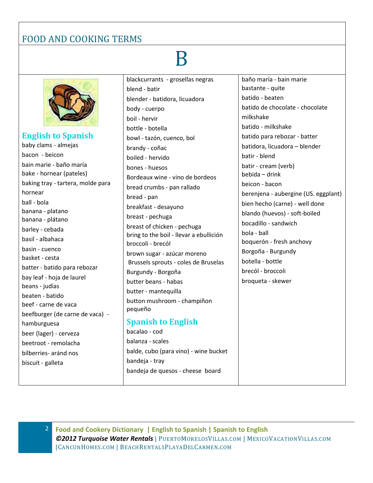# B



**English to Spanish** baby clams - almejas bacon - beicon bain marie - baño maría bake - hornear (pateles) baking tray - tartera, molde para hornear ball - bola banana - platano banana - plátano barley - cebada basil - albahaca basin - cuenco basket - cesta batter - batido para rebozar bay leaf - hoja de laurel beans - judías beaten - batido beef - carne de vaca beefburger (de carne de vaca) hamburguesa beer (lager) - cerveza beetroot - remolacha bilberries- aránd nos biscuit - galleta

blackcurrants - grosellas negras blend - batir blender - batidora, licuadora body - cuerpo boil - hervir bottle - botella bowl - tazón, cuenco, bol brandy - coñac boiled - hervido bones - huesos Bordeaux wine - vino de bordeos bread crumbs - pan rallado bread - pan breakfast - desayuno breast - pechuga breast of chicken - pechuga bring to the boil - llevar a ebullición broccoli - brecól brown sugar - azúcar moreno Brussels sprouts - coles de Bruselas Burgundy - Borgoña butter beans - habas butter - mantequilla button mushroom - champiñon pequeño **Spanish to English**

bacalao - cod balanza - scales balde, cubo (para vino) - wine bucket bandeja - tray bandeja de quesos - cheese board

baño maría - bain marie bastante - quite batido - beaten batido de chocolate - chocolate milkshake batido - milkshake batido para rebozar - batter batidora, licuadora – blender batir - blend batir - cream (verb) bebida – drink beicon - bacon berenjena - aubergine (US. eggplant) bien hecho (carne) - well done blando (huevos) - soft-boiled bocadillo - sandwich bola - ball boquerón - fresh anchovy Borgoña - Burgundy botella - bottle brecól - broccoli broqueta - skewer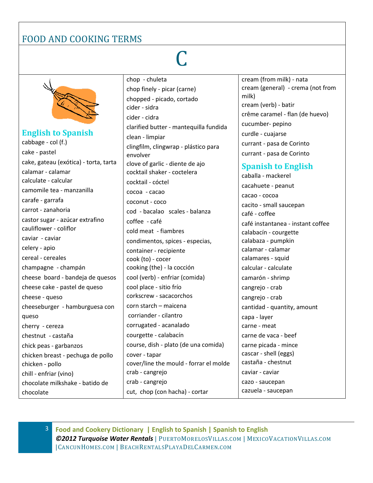# C



**English to Spanish** cabbage - col (f.) cake - pastel cake, gateau (exótica) - torta, tarta calamar - calamar calculate - calcular camomile tea - manzanilla carafe - garrafa carrot - zanahoria castor sugar - azúcar extrafino cauliflower - coliflor caviar - caviar celery - apio cereal - cereales champagne - champán cheese board - bandeja de quesos cheese cake - pastel de queso cheese - queso cheeseburger - hamburguesa con queso cherry - cereza chestnut - castaña chick peas - garbanzos chicken breast - pechuga de pollo chicken - pollo chill - enfriar (vino) chocolate milkshake - batido de chocolate

chop - chuleta chop finely - picar (carne) chopped - picado, cortado cider - sidra cider - cidra clarified butter - mantequilla fundida clean - limpiar clingfilm, clingwrap - plástico para envolver clove of garlic - diente de ajo cocktail shaker - coctelera cocktail - cóctel cocoa - cacao coconut - coco cod - bacalao scales - balanza coffee - café cold meat - fiambres condimentos, spices - especias, container - recipiente cook (to) - cocer cooking (the) - la cocción cool (verb) - enfriar (comida) cool place - sitio frío corkscrew - sacacorchos corn starch – maicena corriander - cilantro corrugated - acanalado courgette - calabacín course, dish - plato (de una comida) cover - tapar cover/line the mould - forrar el molde crab - cangrejo crab - cangrejo cut, chop (con hacha) - cortar

cream (from milk) - nata cream (general) - crema (not from milk) cream (verb) - batir crême caramel - flan (de huevo) cucumber- pepino curdle - cuajarse currant - pasa de Corinto currant - pasa de Corinto

#### **Spanish to English**

caballa - mackerel cacahuete - peanut cacao - cocoa cacito - small saucepan café - coffee café instantanea - instant coffee calabacín - courgette calabaza - pumpkin calamar - calamar calamares - squid calcular - calculate camarón - shrimp cangrejo - crab cangrejo - crab cantidad - quantity, amount capa - layer carne - meat carne de vaca - beef carne picada - mince cascar - shell (eggs) castaña - chestnut caviar - caviar cazo - saucepan cazuela - saucepan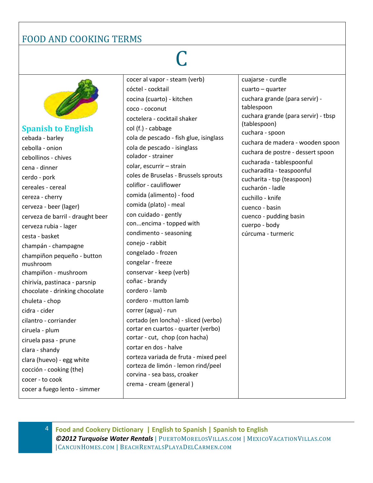# C



**Spanish to English** cebada - barley cebolla - onion cebollinos - chives cena - dinner cerdo - pork cereales - cereal cereza - cherry cerveza - beer (lager) cerveza de barril - draught beer cerveza rubia - lager cesta - basket champán - champagne champiñon pequeño - button mushroom champiñon - mushroom chirivía, pastinaca - parsnip chocolate - drinking chocolate chuleta - chop cidra - cider cilantro - corriander ciruela - plum ciruela pasa - prune clara - shandy clara (huevo) - egg white cocción - cooking (the) cocer - to cook cocer a fuego lento - simmer

cocer al vapor - steam (verb) cóctel - cocktail cocina (cuarto) - kitchen coco - coconut coctelera - cocktail shaker col (f.) - cabbage cola de pescado - fish glue, isinglass cola de pescado - isinglass colador - strainer colar, escurrir – strain coles de Bruselas - Brussels sprouts coliflor - cauliflower comida (alimento) - food comida (plato) - meal con cuidado - gently con...encima - topped with condimento - seasoning conejo - rabbit congelado - frozen congelar - freeze conservar - keep (verb) coñac - brandy cordero - lamb cordero - mutton lamb correr (agua) - run cortado (en loncha) - sliced (verbo) cortar en cuartos - quarter (verbo) cortar - cut, chop (con hacha) cortar en dos - halve corteza variada de fruta - mixed peel corteza de limón - lemon rind/peel corvina - sea bass, croaker crema - cream (general ) cuajarse - curdle

cuarto – quarter cuchara grande (para servir) tablespoon cuchara grande (para servir) - tbsp (tablespoon) cuchara - spoon cuchara de madera - wooden spoon cuchara de postre - dessert spoon cucharada - tablespoonful cucharadita - teaspoonful cucharita - tsp (teaspoon) cucharón - ladle cuchillo - knife cuenco - basin cuenco - pudding basin cuerpo - body cúrcuma - turmeric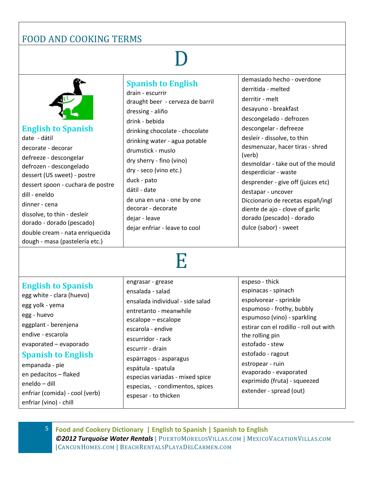D

| <b>English to Spanish</b><br>date - dátil<br>decorate - decorar<br>defreeze - descongelar<br>defrozen - descongelado<br>dessert (US sweet) - postre<br>dessert spoon - cuchara de postre<br>dill - eneldo<br>dinner - cena<br>dissolve, to thin - desleír<br>dorado - dorado (pescado)<br>double cream - nata enriquecida<br>dough - masa (pastelería etc.) | <b>Spanish to English</b><br>drain - escurrir<br>draught beer - cerveza de barril<br>dressing - aliño<br>drink - bebida<br>drinking chocolate - chocolate<br>drinking water - agua potable<br>drumstick - muslo<br>dry sherry - fino (vino)<br>dry - seco (vino etc.)<br>duck - pato<br>dátil - date<br>de una en una - one by one<br>decorar - decorate<br>dejar - leave<br>dejar enfriar - leave to cool | demasiado hecho - overdone<br>derritida - melted<br>derritir - melt<br>desayuno - breakfast<br>descongelado - defrozen<br>descongelar - defreeze<br>desleír - dissolve, to thin<br>desmenuzar, hacer tiras - shred<br>(verb)<br>desmoldar - take out of the mould<br>desperdiciar - waste<br>desprender - give off (juices etc)<br>destapar - uncover<br>Diccionario de recetas españ/ingl<br>diente de ajo - clove of garlic<br>dorado (pescado) - dorado<br>dulce (sabor) - sweet |
|-------------------------------------------------------------------------------------------------------------------------------------------------------------------------------------------------------------------------------------------------------------------------------------------------------------------------------------------------------------|------------------------------------------------------------------------------------------------------------------------------------------------------------------------------------------------------------------------------------------------------------------------------------------------------------------------------------------------------------------------------------------------------------|-------------------------------------------------------------------------------------------------------------------------------------------------------------------------------------------------------------------------------------------------------------------------------------------------------------------------------------------------------------------------------------------------------------------------------------------------------------------------------------|
|-------------------------------------------------------------------------------------------------------------------------------------------------------------------------------------------------------------------------------------------------------------------------------------------------------------------------------------------------------------|------------------------------------------------------------------------------------------------------------------------------------------------------------------------------------------------------------------------------------------------------------------------------------------------------------------------------------------------------------------------------------------------------------|-------------------------------------------------------------------------------------------------------------------------------------------------------------------------------------------------------------------------------------------------------------------------------------------------------------------------------------------------------------------------------------------------------------------------------------------------------------------------------------|

### E

**English to Spanish** egg white - clara (huevo) egg yolk - yema egg - huevo eggplant - berenjena endive - escarola evaporated – evaporado **Spanish to English** empanada - pie engrasar - grease ensalada - salad ensalada individual - side salad entretanto - meanwhile escalope – escalope escarola - endive escurridor - rack escurrir - drain espárragos - asparagus espátula - spatula

en pedacitos – flaked eneldo – dill enfriar (comida) - cool (verb) enfriar (vino) - chill

especias variadas - mixed spice especias, - condimentos, spices espesar - to thicken

espeso - thick espinacas - spinach espolvorear - sprinkle espumoso - frothy, bubbly espumoso (vino) - sparkling estirar con el rodillo - roll out with the rolling pin estofado - stew estofado - ragout estropear - ruin evaporado - evaporated exprimido (fruta) - squeezed extender - spread (out)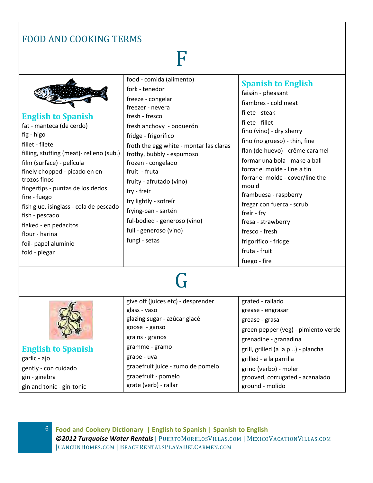gin and tonic - gin-tonic

### F

| <b>English to Spanish</b><br>fat - manteca (de cerdo)<br>fig - higo<br>fillet - filete<br>filling, stuffing (meat)- relleno (sub.)<br>film (surface) - película<br>finely chopped - picado en en<br>trozos finos<br>fingertips - puntas de los dedos<br>fire - fuego<br>fish glue, isinglass - cola de pescado<br>fish - pescado<br>flaked - en pedacitos<br>flour - harina<br>foil- papel aluminio<br>fold - plegar | food - comida (alimento)<br>fork - tenedor<br>freeze - congelar<br>freezer - nevera<br>fresh - fresco<br>fresh anchovy - boquerón<br>fridge - frigorífico<br>froth the egg white - montar las claras<br>frothy, bubbly - espumoso<br>frozen - congelado<br>fruit - fruta<br>fruity - afrutado (vino)<br>fry - freir<br>fry lightly - sofreir<br>frying-pan - sartén<br>ful-bodied - generoso (vino)<br>full - generoso (vino)<br>fungi - setas | <b>Spanish to English</b><br>faisán - pheasant<br>fiambres - cold meat<br>filete - steak<br>filete - fillet<br>fino (vino) - dry sherry<br>fino (no grueso) - thin, fine<br>flan (de huevo) - crême caramel<br>formar una bola - make a ball<br>forrar el molde - line a tin<br>forrar el molde - cover/line the<br>mould<br>frambuesa - raspberry<br>fregar con fuerza - scrub<br>freir - fry<br>fresa - strawberry<br>fresco - fresh<br>frigorífico - fridge<br>fruta - fruit<br>fuego - fire |
|----------------------------------------------------------------------------------------------------------------------------------------------------------------------------------------------------------------------------------------------------------------------------------------------------------------------------------------------------------------------------------------------------------------------|------------------------------------------------------------------------------------------------------------------------------------------------------------------------------------------------------------------------------------------------------------------------------------------------------------------------------------------------------------------------------------------------------------------------------------------------|-------------------------------------------------------------------------------------------------------------------------------------------------------------------------------------------------------------------------------------------------------------------------------------------------------------------------------------------------------------------------------------------------------------------------------------------------------------------------------------------------|
|                                                                                                                                                                                                                                                                                                                                                                                                                      |                                                                                                                                                                                                                                                                                                                                                                                                                                                |                                                                                                                                                                                                                                                                                                                                                                                                                                                                                                 |
| <b>English to Spanish</b><br>garlic - ajo<br>gently - con cuidado                                                                                                                                                                                                                                                                                                                                                    | give off (juices etc) - desprender<br>glass - vaso<br>glazing sugar - azúcar glacé<br>goose - ganso<br>grains - granos<br>gramme - gramo<br>grape - uva<br>grapefruit juice - zumo de pomelo                                                                                                                                                                                                                                                   | grated - rallado<br>grease - engrasar<br>grease - grasa<br>green pepper (veg) - pimiento verde<br>grenadine - granadina<br>grill, grilled (a la p) - plancha<br>grilled - a la parrilla<br>grind (verbo) - moler                                                                                                                                                                                                                                                                                |
| gin - ginebra                                                                                                                                                                                                                                                                                                                                                                                                        | grapefruit - pomelo                                                                                                                                                                                                                                                                                                                                                                                                                            | grooved, corrugated - acanalado                                                                                                                                                                                                                                                                                                                                                                                                                                                                 |

6 **Food and Cookery Dictionary | English to Spanish | Spanish to English** *©2012 Turquoise Water Rentals* | PUERTOM[ORELOS](http://www.puertomorelosvillas.com/)VILLAS.COM | MEXICOVACATIONVILLAS.COM |CANCUNHOMES.COM | BEACHRENTALSPLAYADELCARMEN.COM

ground - molido

grate (verb) - rallar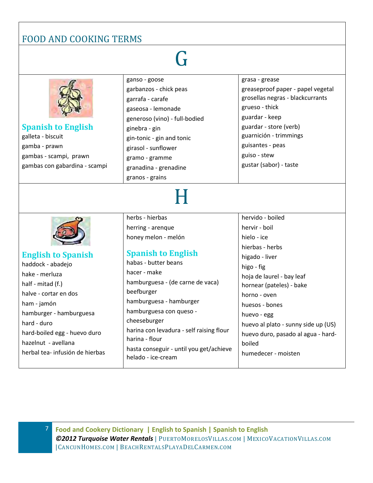### G

| <b>Spanish to English</b><br>galleta - biscuit<br>gamba - prawn<br>gambas - scampi, prawn<br>gambas con gabardina - scampi                                                                              | ganso - goose<br>garbanzos - chick peas<br>garrafa - carafe<br>gaseosa - lemonade<br>generoso (vino) - full-bodied<br>ginebra - gin<br>gin-tonic - gin and tonic<br>girasol - sunflower<br>gramo - gramme<br>granadina - grenadine<br>granos - grains                                                                  | grasa - grease<br>greaseproof paper - papel vegetal<br>grosellas negras - blackcurrants<br>grueso - thick<br>guardar - keep<br>guardar - store (verb)<br>guarnición - trimmings<br>guisantes - peas<br>guiso - stew<br>gustar (sabor) - taste                                              |
|---------------------------------------------------------------------------------------------------------------------------------------------------------------------------------------------------------|------------------------------------------------------------------------------------------------------------------------------------------------------------------------------------------------------------------------------------------------------------------------------------------------------------------------|--------------------------------------------------------------------------------------------------------------------------------------------------------------------------------------------------------------------------------------------------------------------------------------------|
|                                                                                                                                                                                                         |                                                                                                                                                                                                                                                                                                                        |                                                                                                                                                                                                                                                                                            |
| <b>English to Spanish</b><br>haddock - abadejo<br>hake - merluza<br>half - mitad (f.)<br>halve - cortar en dos<br>ham - jamón<br>hamburger - hamburguesa<br>hard - duro<br>hard-boiled egg - huevo duro | herbs - hierbas<br>herring - arenque<br>honey melon - melón<br><b>Spanish to English</b><br>habas - butter beans<br>hacer - make<br>hamburguesa - (de carne de vaca)<br>beefburger<br>hamburguesa - hamburger<br>hamburguesa con queso -<br>cheeseburger<br>harina con levadura - self raising flour<br>harina - flour | hervido - boiled<br>hervir - boil<br>hielo - ice<br>hierbas - herbs<br>higado - liver<br>higo - fig<br>hoja de laurel - bay leaf<br>hornear (pateles) - bake<br>horno - oven<br>huesos - bones<br>huevo - egg<br>huevo al plato - sunny side up (US)<br>huevo duro, pasado al agua - hard- |
| hazelnut - avellana<br>herbal tea- infusión de hierbas                                                                                                                                                  | hasta conseguir - until you get/achieve<br>helado - ice-cream                                                                                                                                                                                                                                                          | boiled<br>humedecer - moisten                                                                                                                                                                                                                                                              |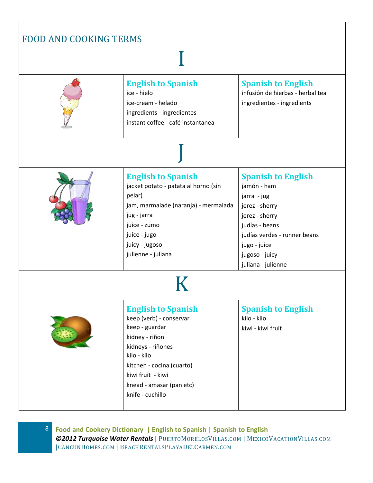| <b>English to Spanish</b><br>ice - hielo<br>ice-cream - helado<br>ingredients - ingredientes<br>instant coffee - café instantanea                                                                                              | <b>Spanish to English</b><br>infusión de hierbas - herbal tea<br>ingredientes - ingredients                                                                                                           |
|--------------------------------------------------------------------------------------------------------------------------------------------------------------------------------------------------------------------------------|-------------------------------------------------------------------------------------------------------------------------------------------------------------------------------------------------------|
|                                                                                                                                                                                                                                |                                                                                                                                                                                                       |
| <b>English to Spanish</b><br>jacket potato - patata al horno (sin<br>pelar)<br>jam, marmalade (naranja) - mermalada<br>jug - jarra<br>juice - zumo<br>juice - jugo<br>juicy - jugoso<br>julienne - juliana                     | <b>Spanish to English</b><br>jamón - ham<br>jarra - jug<br>jerez - sherry<br>jerez - sherry<br>judías - beans<br>judías verdes - runner beans<br>jugo - juice<br>jugoso - juicy<br>juliana - julienne |
|                                                                                                                                                                                                                                |                                                                                                                                                                                                       |
| <b>English to Spanish</b><br>keep (verb) - conservar<br>keep - guardar<br>kidney - riñon<br>kidneys - riñones<br>kilo - kilo<br>kitchen - cocina (cuarto)<br>kiwi fruit - kiwi<br>knead - amasar (pan etc)<br>knife - cuchillo | <b>Spanish to English</b><br>kilo - kilo<br>kiwi - kiwi fruit                                                                                                                                         |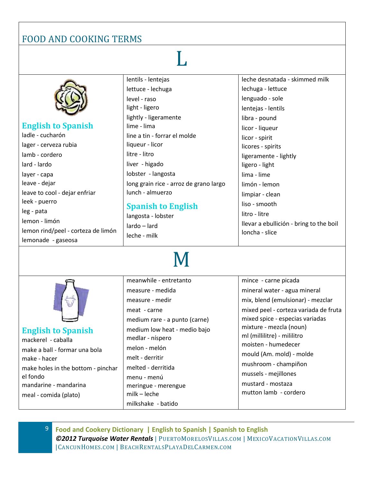### L

|                                    | lentils - lentejas                     | leche desnatada - skimmed milk          |
|------------------------------------|----------------------------------------|-----------------------------------------|
|                                    | lettuce - lechuga                      | lechuga - lettuce                       |
|                                    | level - raso                           | lenguado - sole                         |
|                                    | light - ligero                         | lentejas - lentils                      |
|                                    | lightly - ligeramente                  | libra - pound                           |
| <b>English to Spanish</b>          | lime - lima                            | licor - liqueur                         |
| ladle - cucharón                   | line a tin - forrar el molde           | licor - spirit                          |
| lager - cerveza rubia              | liqueur - licor                        | licores - spirits                       |
| lamb - cordero                     | litre - litro                          | ligeramente - lightly                   |
| lard - lardo                       | liver - higado                         | ligero - light                          |
| layer - capa                       | lobster - langosta                     | lima - lime                             |
| leave - dejar                      | long grain rice - arroz de grano largo | limón - lemon                           |
| leave to cool - dejar enfriar      | lunch - almuerzo                       | limpiar - clean                         |
| leek - puerro                      | <b>Spanish to English</b>              | liso - smooth                           |
| leg - pata                         | langosta - lobster                     | litro - litre                           |
| lemon - limón                      | lardo - lard                           | llevar a ebullición - bring to the boil |
| lemon rind/peel - corteza de limón | leche - milk                           | loncha - slice                          |
| lemonade - gaseosa                 |                                        |                                         |

# M

#### **English to Spanish**

mackerel - caballa make a ball - formar una bola make - hacer make holes in the bottom - pinchar el fondo mandarine - mandarina meal - comida (plato)

meanwhile - entretanto measure - medida measure - medir meat - carne medium rare - a punto (carne) medium low heat - medio bajo medlar - níspero melon - melón melt - derritir melted - derritida menu - menú meringue - merengue milk – leche milkshake - batido

mince - carne picada mineral water - agua mineral mix, blend (emulsionar) - mezclar mixed peel - corteza variada de fruta mixed spice - especias variadas mixture - mezcla (noun) ml (millilitre) - mililitro moisten - humedecer mould (Am. mold) - molde mushroom - champiñon mussels - mejillones mustard - mostaza mutton lamb - cordero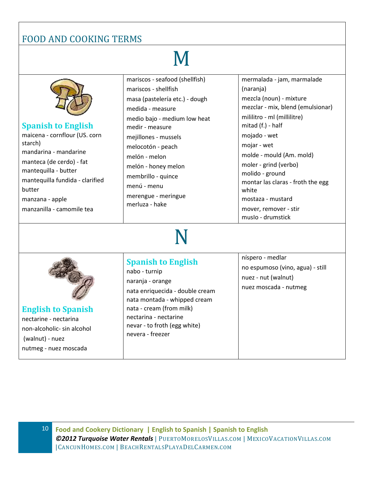M

| <b>Spanish to English</b><br>maicena - cornflour (US. corn<br>starch)<br>mandarina - mandarine<br>manteca (de cerdo) - fat<br>mantequilla - butter<br>mantequilla fundida - clarified<br>butter<br>manzana - apple<br>manzanilla - camomile tea | mariscos - seafood (shellfish)<br>mariscos - shellfish<br>masa (pastelería etc.) - dough<br>medida - measure<br>medio bajo - medium low heat<br>medir - measure<br>mejillones - mussels<br>melocotón - peach<br>melón - melon<br>melón - honey melon<br>membrillo - quince<br>menú - menu<br>merengue - meringue<br>merluza - hake | mermalada - jam, marmalade<br>(naranja)<br>mezcla (noun) - mixture<br>mezclar - mix, blend (emulsionar)<br>mililitro - ml (millilitre)<br>mitad (f.) - half<br>mojado - wet<br>mojar - wet<br>molde - mould (Am. mold)<br>moler - grind (verbo)<br>molido - ground<br>montar las claras - froth the egg<br>white<br>mostaza - mustard<br>mover, remover - stir<br>muslo - drumstick |
|-------------------------------------------------------------------------------------------------------------------------------------------------------------------------------------------------------------------------------------------------|------------------------------------------------------------------------------------------------------------------------------------------------------------------------------------------------------------------------------------------------------------------------------------------------------------------------------------|-------------------------------------------------------------------------------------------------------------------------------------------------------------------------------------------------------------------------------------------------------------------------------------------------------------------------------------------------------------------------------------|
| <b>English to Spanish</b><br>nectarine - nectarina<br>non-alcoholic- sin alcohol<br>(walnut) - nuez<br>nutmeg - nuez moscada                                                                                                                    | <b>Spanish to English</b><br>nabo - turnip<br>naranja - orange<br>nata enriquecida - double cream<br>nata montada - whipped cream<br>nata - cream (from milk)<br>nectarina - nectarine<br>nevar - to froth (egg white)<br>nevera - freezer                                                                                         | níspero - medlar<br>no espumoso (vino, agua) - still<br>nuez - nut (walnut)<br>nuez moscada - nutmeg                                                                                                                                                                                                                                                                                |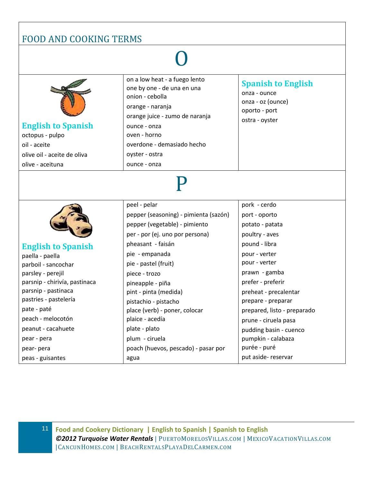# O



#### **English to Spanish** octopus - pulpo oil - aceite olive oil - aceite de oliva

olive - aceituna

on a low heat - a fuego lento one by one - de una en una onion - cebolla orange - naranja orange juice - zumo de naranja ounce - onza oven - horno overdone - demasiado hecho oyster - ostra ounce - onza

#### **Spanish to English**

onza - ounce onza - oz (ounce) oporto - port ostra - oyster

# P

peel - pelar



#### **English to Spanish**

paella - paella parboil - sancochar parsley - perejil parsnip - chirivía, pastinaca parsnip - pastinaca pastries - pastelería pate - paté peach - melocotón peanut - cacahuete pear - pera pear- pera peas - guisantes

pepper (seasoning) - pimienta (sazón) pepper (vegetable) - pimiento per - por (ej. uno por persona) pheasant - faisán pie - empanada pie - pastel (fruit) piece - trozo pineapple - piña pint - pinta (medida) pistachio - pistacho place (verb) - poner, colocar plaice - acedía plate - plato plum - ciruela poach (huevos, pescado) - pasar por agua

pork - cerdo port - oporto potato - patata poultry - aves pound - libra pour - verter pour - verter prawn - gamba prefer - preferir preheat - precalentar prepare - preparar prepared, listo - preparado prune - ciruela pasa pudding basin - cuenco pumpkin - calabaza purée - puré put aside- reservar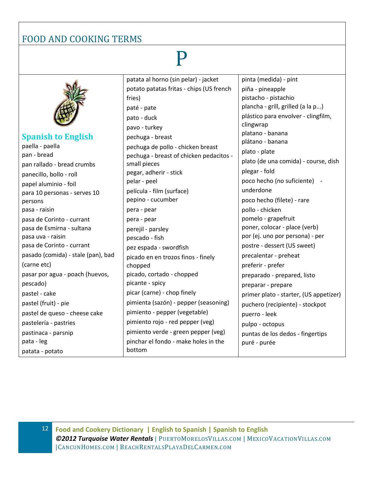# P

**Spanish to English** paella - paella pan - bread pan rallado - bread crumbs panecillo, bollo - roll papel aluminio - foil para 10 personas - serves 10 persons pasa - raisin pasa de Corinto - currant pasa de Esmirna - sultana pasa uva - raisin pasa de Corinto - currant pasado (comida) - stale (pan), bad (carne etc) pasar por agua - poach (huevos, pescado) pastel - cake pastel (fruit) - pie pastel de queso - cheese cake pastelería - pastries pastinaca - parsnip pata - leg patata - potato fries) chopped bottom

patata al horno (sin pelar) - jacket potato patatas fritas - chips (US french paté - pate pato - duck pavo - turkey pechuga - breast pechuga de pollo - chicken breast pechuga - breast of chicken pedacitos small pieces pegar, adherir - stick pelar - peel película - film (surface) pepino - cucumber pera - pear pera - pear perejil - parsley pescado - fish pez espada - swordfish picado en en trozos finos - finely picado, cortado - chopped picante - spicy picar (carne) - chop finely pimienta (sazón) - pepper (seasoning) pimiento - pepper (vegetable) pimiento rojo - red pepper (veg) pimiento verde - green pepper (veg) pinchar el fondo - make holes in the

pinta (medida) - pint piña - pineapple pistacho - pistachio plancha - grill, grilled (a la p...) plástico para envolver - clingfilm, clingwrap platano - banana plátano - banana plato - plate plato (de una comida) - course, dish plegar - fold poco hecho (no suficiente) underdone poco hecho (filete) - rare pollo - chicken pomelo - grapefruit poner, colocar - place (verb) por (ej. uno por persona) - per postre - dessert (US sweet) precalentar - preheat preferir - prefer preparado - prepared, listo preparar - prepare primer plato - starter, (US appetizer) puchero (recipiente) - stockpot puerro - leek pulpo - octopus puntas de los dedos - fingertips puré - purée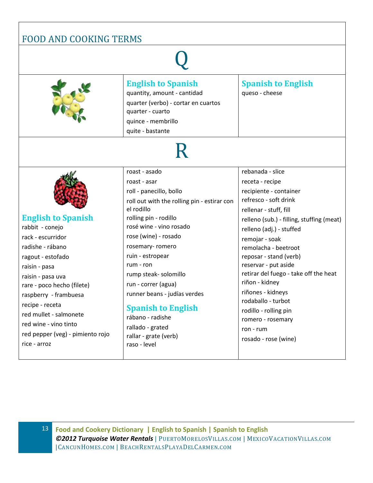| <b>FOOD AND COOKING TERMS</b>                                                                                                                                                                                                                                                                                     |                                                                                                                                                                                                                                                                                                                                                                                                                                       |                                                                                                                                                                                                                                                                                                                                                                                                                                                                                |
|-------------------------------------------------------------------------------------------------------------------------------------------------------------------------------------------------------------------------------------------------------------------------------------------------------------------|---------------------------------------------------------------------------------------------------------------------------------------------------------------------------------------------------------------------------------------------------------------------------------------------------------------------------------------------------------------------------------------------------------------------------------------|--------------------------------------------------------------------------------------------------------------------------------------------------------------------------------------------------------------------------------------------------------------------------------------------------------------------------------------------------------------------------------------------------------------------------------------------------------------------------------|
|                                                                                                                                                                                                                                                                                                                   |                                                                                                                                                                                                                                                                                                                                                                                                                                       |                                                                                                                                                                                                                                                                                                                                                                                                                                                                                |
|                                                                                                                                                                                                                                                                                                                   | <b>English to Spanish</b><br>quantity, amount - cantidad<br>quarter (verbo) - cortar en cuartos<br>quarter - cuarto<br>quince - membrillo<br>quite - bastante                                                                                                                                                                                                                                                                         | <b>Spanish to English</b><br>queso - cheese                                                                                                                                                                                                                                                                                                                                                                                                                                    |
|                                                                                                                                                                                                                                                                                                                   |                                                                                                                                                                                                                                                                                                                                                                                                                                       |                                                                                                                                                                                                                                                                                                                                                                                                                                                                                |
| <b>English to Spanish</b><br>rabbit - conejo<br>rack - escurridor<br>radishe - rábano<br>ragout - estofado<br>raisin - pasa<br>raisin - pasa uva<br>rare - poco hecho (filete)<br>raspberry - frambuesa<br>recipe - receta<br>red mullet - salmonete<br>red wine - vino tinto<br>red pepper (veg) - pimiento rojo | roast - asado<br>roast - asar<br>roll - panecillo, bollo<br>roll out with the rolling pin - estirar con<br>el rodillo<br>rolling pin - rodillo<br>rosé wine - vino rosado<br>rose (wine) - rosado<br>rosemary-romero<br>ruin - estropear<br>$rum - ron$<br>rump steak- solomillo<br>run - correr (agua)<br>runner beans - judías verdes<br><b>Spanish to English</b><br>rábano - radishe<br>rallado - grated<br>rallar - grate (verb) | rebanada - slice<br>receta - recipe<br>recipiente - container<br>refresco - soft drink<br>rellenar - stuff, fill<br>relleno (sub.) - filling, stuffing (meat)<br>relleno (adj.) - stuffed<br>remojar - soak<br>remolacha - beetroot<br>reposar - stand (verb)<br>reservar - put aside<br>retirar del fuego - take off the heat<br>riñon - kidney<br>riñones - kidneys<br>rodaballo - turbot<br>rodillo - rolling pin<br>romero - rosemary<br>ron - rum<br>rosado - rose (wine) |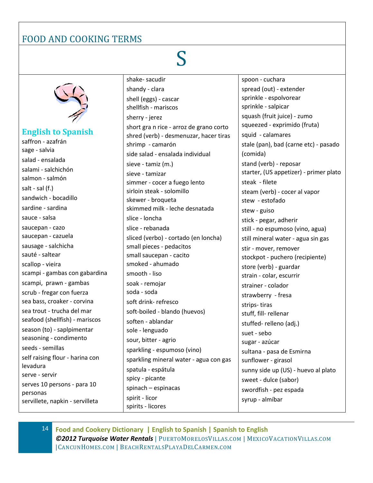# S



#### **English to Spanish**

saffron - azafrán sage - salvia salad - ensalada salami - salchichón salmon - salmón salt - sal (f.) sandwich - bocadillo sardine - sardina sauce - salsa saucepan - cazo saucepan - cazuela sausage - salchicha sauté - saltear scallop - vieira scampi - gambas con gabardina scampi, prawn - gambas scrub - fregar con fuerza sea bass, croaker - corvina sea trout - trucha del mar seafood (shellfish) - mariscos season (to) - saplpimentar seasoning - condimento seeds - semillas self raising flour - harina con levadura serve - servir serves 10 persons - para 10 personas servillete, napkin - servilleta

shake- sacudir shandy - clara shell (eggs) - cascar shellfish - mariscos sherry - jerez short gra n rice - arroz de grano corto shred (verb) - desmenuzar, hacer tiras shrimp - camarón side salad - ensalada individual sieve - tamiz (m.) sieve - tamizar simmer - cocer a fuego lento sirloin steak - solomillo skewer - broqueta skimmed milk - leche desnatada slice - loncha slice - rebanada sliced (verbo) - cortado (en loncha) small pieces - pedacitos small saucepan - cacito smoked - ahumado smooth - liso soak - remojar soda - soda soft drink- refresco soft-boiled - blando (huevos) soften - ablandar sole - lenguado sour, bitter - agrio sparkling - espumoso (vino) sparkling mineral water - agua con gas spatula - espátula spicy - picante spinach – espinacas spirit - licor spirits - licores

spoon - cuchara spread (out) - extender sprinkle - espolvorear sprinkle - salpicar squash (fruit juice) - zumo squeezed - exprimido (fruta) squid - calamares stale (pan), bad (carne etc) - pasado (comida) stand (verb) - reposar starter, (US appetizer) - primer plato steak - filete steam (verb) - cocer al vapor stew - estofado stew - guiso stick - pegar, adherir still - no espumoso (vino, agua) still mineral water - agua sin gas stir - mover, remover stockpot - puchero (recipiente) store (verb) - guardar strain - colar, escurrir strainer - colador strawberry - fresa strips- tiras stuff, fill- rellenar stuffed- relleno (adj.) suet - sebo sugar - azúcar sultana - pasa de Esmirna sunflower - girasol sunny side up (US) - huevo al plato sweet - dulce (sabor) swordfish - pez espada syrup - almíbar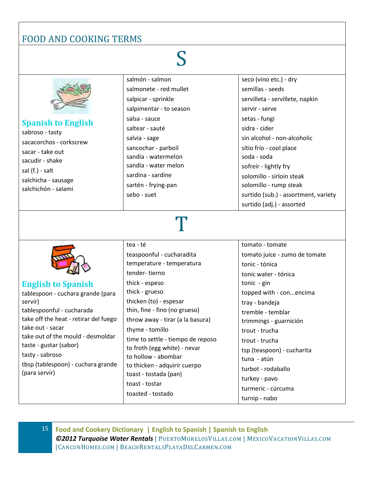# S



semillas - seeds servilleta - servillete, napkin servir - serve setas - fungi sidra - cider sin alcohol - non-alcoholic sitio frío - cool place soda - soda sofreír - lightly fry solomillo - sirloin steak solomillo - rump steak surtido (sub.) - assortment, variety surtido (adj.) - assorted

# T



**English to Spanish** tablespoon - cuchara grande (para servir) tablespoonful - cucharada take off the heat - retirar del fuego take out - sacar take out of the mould - desmoldar taste - gustar (sabor) tasty - sabroso tbsp (tablespoon) - cuchara grande (para servir)

tea - té teaspoonful - cucharadita temperature - temperatura tender- tierno thick - espeso thick - grueso thicken (to) - espesar thin, fine - fino (no grueso) throw away - tirar (a la basura) thyme - tomillo time to settle - tiempo de reposo to froth (egg white) - nevar to hollow - abombar to thicken - adquirir cuerpo toast - tostada (pan) toast - tostar toasted - tostado

tomato - tomate tomato juice - zumo de tomate tonic - tónica tonic water - tónica tonic - gin topped with - con...encima tray - bandeja tremble - temblar trimmings - guarnición trout - trucha trout - trucha tsp (teaspoon) - cucharita tuna - atún turbot - rodaballo turkey - pavo turmeric - cúrcuma turnip - nabo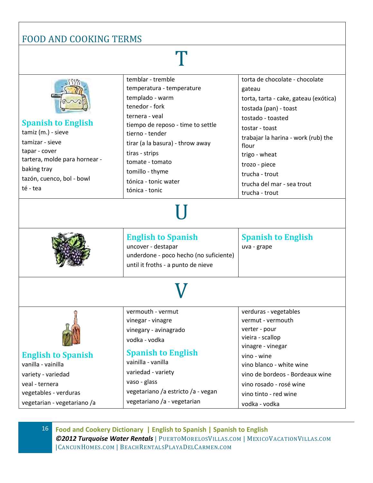### T

|                               | temblar - tremble                      | torta de chocolate - chocolate        |
|-------------------------------|----------------------------------------|---------------------------------------|
|                               | temperatura - temperature              | gateau                                |
|                               | templado - warm                        | torta, tarta - cake, gateau (exótica) |
|                               | tenedor - fork                         | tostada (pan) - toast                 |
|                               | ternera - veal                         | tostado - toasted                     |
| <b>Spanish to English</b>     | tiempo de reposo - time to settle      | tostar - toast                        |
| tamiz (m.) - sieve            | tierno - tender                        | trabajar la harina - work (rub) the   |
| tamizar - sieve               | tirar (a la basura) - throw away       | flour                                 |
| tapar - cover                 | tiras - strips                         | trigo - wheat                         |
| tartera, molde para hornear - | tomate - tomato                        | trozo - piece                         |
| baking tray                   | tomillo - thyme                        | trucha - trout                        |
| tazón, cuenco, bol - bowl     | tónica - tonic water                   | trucha del mar - sea trout            |
| té - tea                      | tónica - tonic                         | trucha - trout                        |
|                               |                                        |                                       |
|                               |                                        |                                       |
|                               |                                        |                                       |
|                               |                                        |                                       |
|                               | <b>English to Spanish</b>              | <b>Spanish to English</b>             |
|                               | uncover - destapar                     | uva - grape                           |
|                               | underdone - poco hecho (no suficiente) |                                       |
|                               | until it froths - a punto de nieve     |                                       |
|                               |                                        |                                       |
|                               |                                        |                                       |
|                               |                                        |                                       |
|                               | vermouth - vermut                      | verduras - vegetables                 |
|                               |                                        |                                       |
|                               | vinegar - vinagre                      | vermut - vermouth                     |
|                               |                                        | verter - pour                         |
|                               | vinegary - avinagrado                  | vieira - scallop                      |
| <b>Card and</b>               | vodka - vodka                          | vinagre - vinegar                     |
| <b>English to Spanish</b>     | <b>Spanish to English</b>              | vino - wine                           |
| vanilla - vainilla            | vainilla - vanilla                     | vino blanco - white wine              |
| variety - variedad            | variedad - variety                     | vino de bordeos - Bordeaux wine       |
| veal - ternera                | vaso - glass                           | vino rosado - rosé wine               |
| vegetables - verduras         | vegetariano /a estricto /a - vegan     | vino tinto - red wine                 |
| vegetarian - vegetariano /a   | vegetariano /a - vegetarian            | vodka - vodka                         |